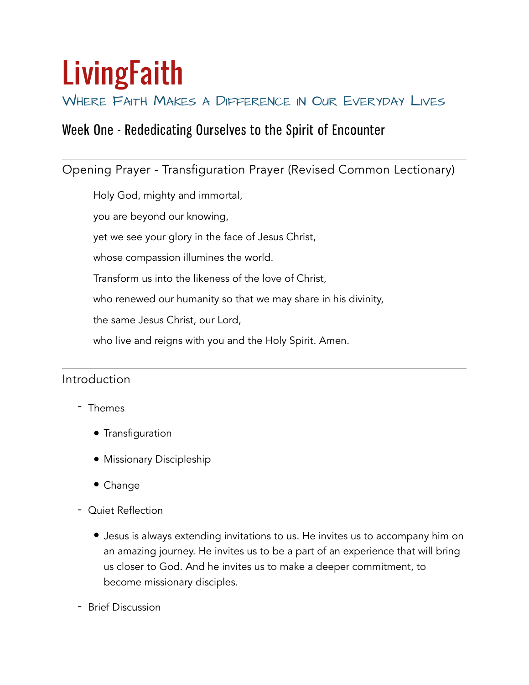# **LivingFaith**

# WHERE FAITH MAKES A DIFFERENCE IN OUR EVERYDAY LIVES

# Week One - Rededicating Ourselves to the Spirit of Encounter

Opening Prayer - Transfiguration Prayer (Revised Common Lectionary)

Holy God, mighty and immortal,

you are beyond our knowing,

yet we see your glory in the face of Jesus Christ,

whose compassion illumines the world.

Transform us into the likeness of the love of Christ,

who renewed our humanity so that we may share in his divinity,

the same Jesus Christ, our Lord,

who live and reigns with you and the Holy Spirit. Amen.

# Introduction

- Themes
	- Transfiguration
	- Missionary Discipleship
	- Change
- Quiet Reflection
	- Jesus is always extending invitations to us. He invites us to accompany him on an amazing journey. He invites us to be a part of an experience that will bring us closer to God. And he invites us to make a deeper commitment, to become missionary disciples.
- Brief Discussion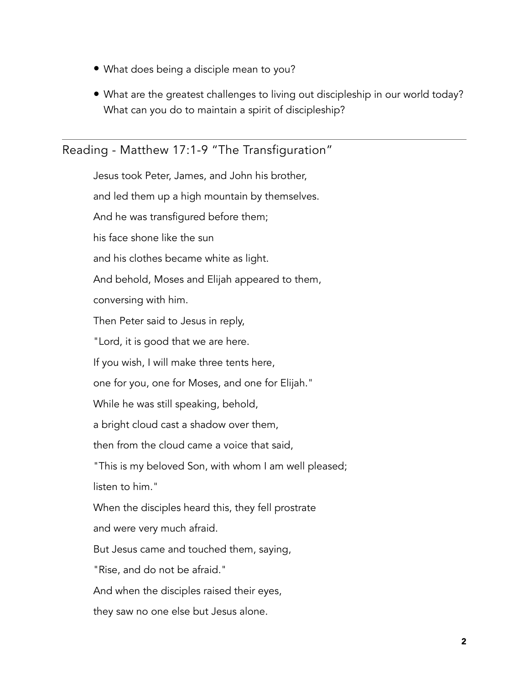- What does being a disciple mean to you?
- What are the greatest challenges to living out discipleship in our world today? What can you do to maintain a spirit of discipleship?

# Reading - Matthew 17:1-9 "The Transfiguration"

Jesus took Peter, James, and John his brother, and led them up a high mountain by themselves. And he was transfigured before them; his face shone like the sun and his clothes became white as light. And behold, Moses and Elijah appeared to them, conversing with him. Then Peter said to Jesus in reply, "Lord, it is good that we are here. If you wish, I will make three tents here, one for you, one for Moses, and one for Elijah." While he was still speaking, behold, a bright cloud cast a shadow over them, then from the cloud came a voice that said, "This is my beloved Son, with whom I am well pleased; listen to him." When the disciples heard this, they fell prostrate and were very much afraid. But Jesus came and touched them, saying, "Rise, and do not be afraid." And when the disciples raised their eyes, they saw no one else but Jesus alone.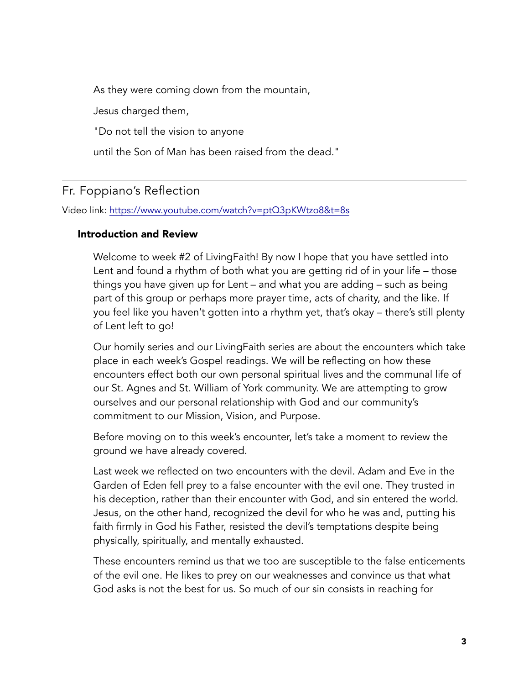As they were coming down from the mountain,

Jesus charged them,

"Do not tell the vision to anyone

until the Son of Man has been raised from the dead."

# Fr. Foppiano's Reflection

Video link: <https://www.youtube.com/watch?v=ptQ3pKWtzo8&t=8s>

#### Introduction and Review

Welcome to week #2 of LivingFaith! By now I hope that you have settled into Lent and found a rhythm of both what you are getting rid of in your life – those things you have given up for Lent – and what you are adding – such as being part of this group or perhaps more prayer time, acts of charity, and the like. If you feel like you haven't gotten into a rhythm yet, that's okay – there's still plenty of Lent left to go!

Our homily series and our LivingFaith series are about the encounters which take place in each week's Gospel readings. We will be reflecting on how these encounters effect both our own personal spiritual lives and the communal life of our St. Agnes and St. William of York community. We are attempting to grow ourselves and our personal relationship with God and our community's commitment to our Mission, Vision, and Purpose.

Before moving on to this week's encounter, let's take a moment to review the ground we have already covered.

Last week we reflected on two encounters with the devil. Adam and Eve in the Garden of Eden fell prey to a false encounter with the evil one. They trusted in his deception, rather than their encounter with God, and sin entered the world. Jesus, on the other hand, recognized the devil for who he was and, putting his faith firmly in God his Father, resisted the devil's temptations despite being physically, spiritually, and mentally exhausted.

These encounters remind us that we too are susceptible to the false enticements of the evil one. He likes to prey on our weaknesses and convince us that what God asks is not the best for us. So much of our sin consists in reaching for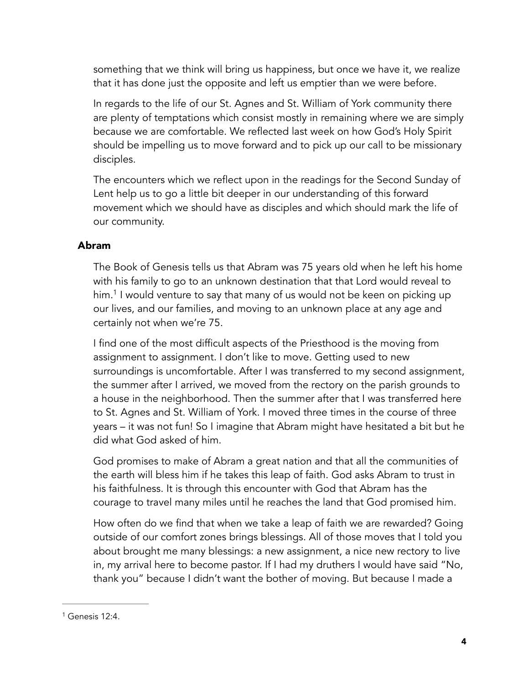something that we think will bring us happiness, but once we have it, we realize that it has done just the opposite and left us emptier than we were before.

In regards to the life of our St. Agnes and St. William of York community there are plenty of temptations which consist mostly in remaining where we are simply because we are comfortable. We reflected last week on how God's Holy Spirit should be impelling us to move forward and to pick up our call to be missionary disciples.

The encounters which we reflect upon in the readings for the Second Sunday of Lent help us to go a little bit deeper in our understanding of this forward movement which we should have as disciples and which should mark the life of our community.

#### Abram

<span id="page-3-1"></span>The Book of Genesis tells us that Abram was 75 years old when he left his home with his family to go to an unknown destination that that Lord would reveal to him.<sup>[1](#page-3-0)</sup> I would venture to say that many of us would not be keen on picking up our lives, and our families, and moving to an unknown place at any age and certainly not when we're 75.

I find one of the most difficult aspects of the Priesthood is the moving from assignment to assignment. I don't like to move. Getting used to new surroundings is uncomfortable. After I was transferred to my second assignment, the summer after I arrived, we moved from the rectory on the parish grounds to a house in the neighborhood. Then the summer after that I was transferred here to St. Agnes and St. William of York. I moved three times in the course of three years – it was not fun! So I imagine that Abram might have hesitated a bit but he did what God asked of him.

God promises to make of Abram a great nation and that all the communities of the earth will bless him if he takes this leap of faith. God asks Abram to trust in his faithfulness. It is through this encounter with God that Abram has the courage to travel many miles until he reaches the land that God promised him.

How often do we find that when we take a leap of faith we are rewarded? Going outside of our comfort zones brings blessings. All of those moves that I told you about brought me many blessings: a new assignment, a nice new rectory to live in, my arrival here to become pastor. If I had my druthers I would have said "No, thank you" because I didn't want the bother of moving. But because I made a

<span id="page-3-0"></span> $1$  Genesis 12:4.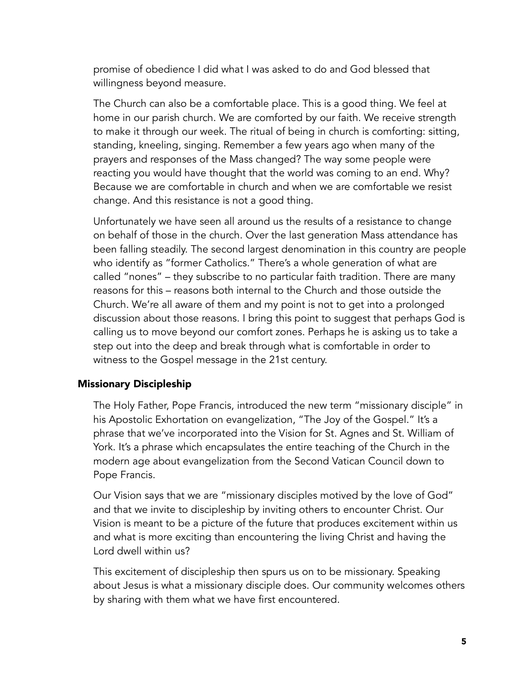promise of obedience I did what I was asked to do and God blessed that willingness beyond measure.

The Church can also be a comfortable place. This is a good thing. We feel at home in our parish church. We are comforted by our faith. We receive strength to make it through our week. The ritual of being in church is comforting: sitting, standing, kneeling, singing. Remember a few years ago when many of the prayers and responses of the Mass changed? The way some people were reacting you would have thought that the world was coming to an end. Why? Because we are comfortable in church and when we are comfortable we resist change. And this resistance is not a good thing.

Unfortunately we have seen all around us the results of a resistance to change on behalf of those in the church. Over the last generation Mass attendance has been falling steadily. The second largest denomination in this country are people who identify as "former Catholics." There's a whole generation of what are called "nones" – they subscribe to no particular faith tradition. There are many reasons for this – reasons both internal to the Church and those outside the Church. We're all aware of them and my point is not to get into a prolonged discussion about those reasons. I bring this point to suggest that perhaps God is calling us to move beyond our comfort zones. Perhaps he is asking us to take a step out into the deep and break through what is comfortable in order to witness to the Gospel message in the 21st century.

#### Missionary Discipleship

The Holy Father, Pope Francis, introduced the new term "missionary disciple" in his Apostolic Exhortation on evangelization, "The Joy of the Gospel." It's a phrase that we've incorporated into the Vision for St. Agnes and St. William of York. It's a phrase which encapsulates the entire teaching of the Church in the modern age about evangelization from the Second Vatican Council down to Pope Francis.

Our Vision says that we are "missionary disciples motived by the love of God" and that we invite to discipleship by inviting others to encounter Christ. Our Vision is meant to be a picture of the future that produces excitement within us and what is more exciting than encountering the living Christ and having the Lord dwell within us?

This excitement of discipleship then spurs us on to be missionary. Speaking about Jesus is what a missionary disciple does. Our community welcomes others by sharing with them what we have first encountered.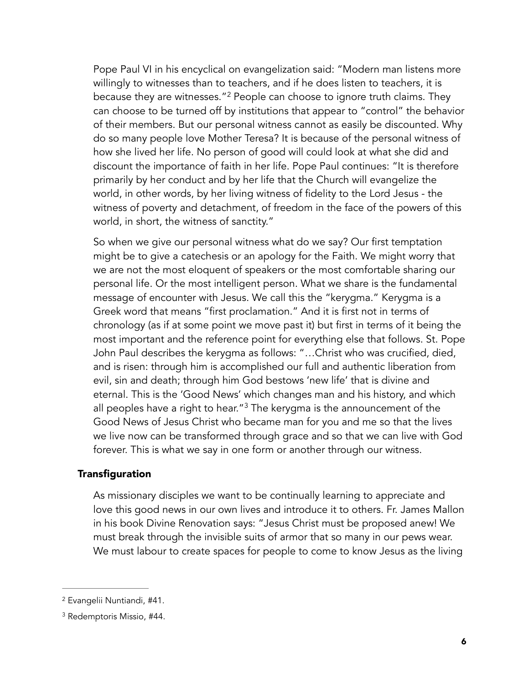<span id="page-5-2"></span>Pope Paul VI in his encyclical on evangelization said: "Modern man listens more willingly to witnesses than to teachers, and if he does listen to teachers, it is because they are witnesses."<sup>[2](#page-5-0)</sup> People can choose to ignore truth claims. They can choose to be turned off by institutions that appear to "control" the behavior of their members. But our personal witness cannot as easily be discounted. Why do so many people love Mother Teresa? It is because of the personal witness of how she lived her life. No person of good will could look at what she did and discount the importance of faith in her life. Pope Paul continues: "It is therefore primarily by her conduct and by her life that the Church will evangelize the world, in other words, by her living witness of fidelity to the Lord Jesus - the witness of poverty and detachment, of freedom in the face of the powers of this world, in short, the witness of sanctity."

So when we give our personal witness what do we say? Our first temptation might be to give a catechesis or an apology for the Faith. We might worry that we are not the most eloquent of speakers or the most comfortable sharing our personal life. Or the most intelligent person. What we share is the fundamental message of encounter with Jesus. We call this the "kerygma." Kerygma is a Greek word that means "first proclamation." And it is first not in terms of chronology (as if at some point we move past it) but first in terms of it being the most important and the reference point for everything else that follows. St. Pope John Paul describes the kerygma as follows: "…Christ who was crucified, died, and is risen: through him is accomplished our full and authentic liberation from evil, sin and death; through him God bestows 'new life' that is divine and eternal. This is the 'Good News' which changes man and his history, and which all peoples have a right to hear."<sup>[3](#page-5-1)</sup> The kerygma is the announcement of the Good News of Jesus Christ who became man for you and me so that the lives we live now can be transformed through grace and so that we can live with God forever. This is what we say in one form or another through our witness.

#### **Transfiguration**

<span id="page-5-3"></span>As missionary disciples we want to be continually learning to appreciate and love this good news in our own lives and introduce it to others. Fr. James Mallon in his book Divine Renovation says: "Jesus Christ must be proposed anew! We must break through the invisible suits of armor that so many in our pews wear. We must labour to create spaces for people to come to know Jesus as the living

<span id="page-5-0"></span><sup>&</sup>lt;sup>[2](#page-5-2)</sup> Evangelii Nuntiandi, #41.

<span id="page-5-1"></span><sup>&</sup>lt;sup>[3](#page-5-3)</sup> Redemptoris Missio, #44.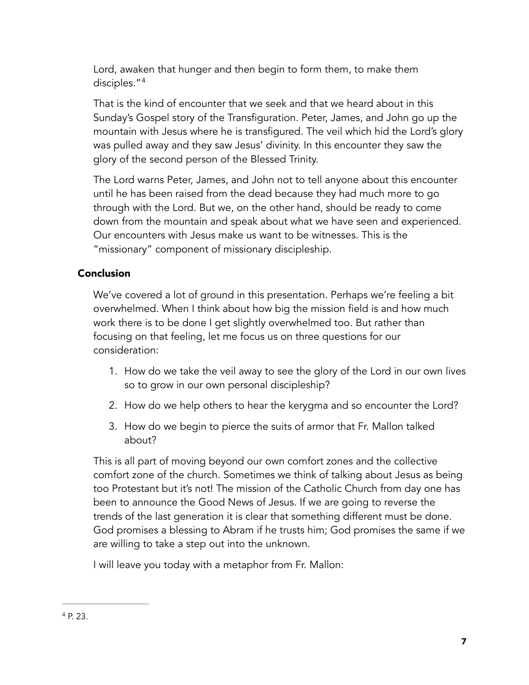Lord, awaken that hunger and then begin to form them, to make them disciples." 4

<span id="page-6-1"></span>That is the kind of encounter that we seek and that we heard about in this Sunday's Gospel story of the Transfiguration. Peter, James, and John go up the mountain with Jesus where he is transfigured. The veil which hid the Lord's glory was pulled away and they saw Jesus' divinity. In this encounter they saw the glory of the second person of the Blessed Trinity.

The Lord warns Peter, James, and John not to tell anyone about this encounter until he has been raised from the dead because they had much more to go through with the Lord. But we, on the other hand, should be ready to come down from the mountain and speak about what we have seen and experienced. Our encounters with Jesus make us want to be witnesses. This is the "missionary" component of missionary discipleship.

## Conclusion

We've covered a lot of ground in this presentation. Perhaps we're feeling a bit overwhelmed. When I think about how big the mission field is and how much work there is to be done I get slightly overwhelmed too. But rather than focusing on that feeling, let me focus us on three questions for our consideration:

- 1. How do we take the veil away to see the glory of the Lord in our own lives so to grow in our own personal discipleship?
- 2. How do we help others to hear the kerygma and so encounter the Lord?
- 3. How do we begin to pierce the suits of armor that Fr. Mallon talked about?

This is all part of moving beyond our own comfort zones and the collective comfort zone of the church. Sometimes we think of talking about Jesus as being too Protestant but it's not! The mission of the Catholic Church from day one has been to announce the Good News of Jesus. If we are going to reverse the trends of the last generation it is clear that something different must be done. God promises a blessing to Abram if he trusts him; God promises the same if we are willing to take a step out into the unknown.

<span id="page-6-0"></span>I will leave you today with a metaphor from Fr. Mallon: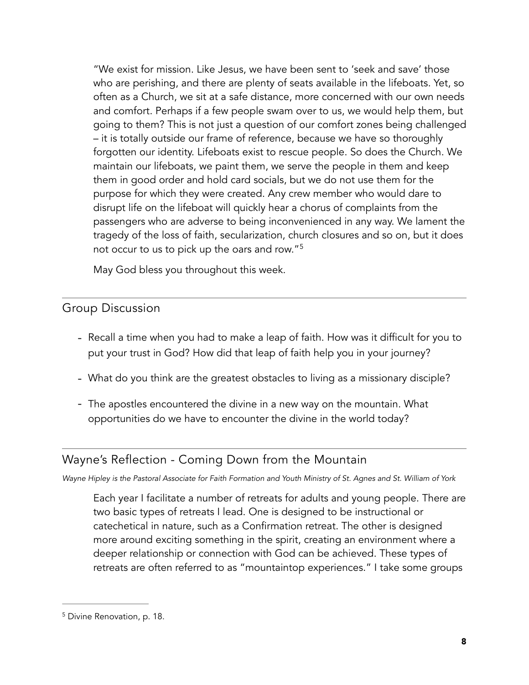"We exist for mission. Like Jesus, we have been sent to 'seek and save' those who are perishing, and there are plenty of seats available in the lifeboats. Yet, so often as a Church, we sit at a safe distance, more concerned with our own needs and comfort. Perhaps if a few people swam over to us, we would help them, but going to them? This is not just a question of our comfort zones being challenged – it is totally outside our frame of reference, because we have so thoroughly forgotten our identity. Lifeboats exist to rescue people. So does the Church. We maintain our lifeboats, we paint them, we serve the people in them and keep them in good order and hold card socials, but we do not use them for the purpose for which they were created. Any crew member who would dare to disrupt life on the lifeboat will quickly hear a chorus of complaints from the passengers who are adverse to being inconvenienced in any way. We lament the tragedy of the loss of faith, secularization, church closures and so on, but it does not occur to us to pick up the oars and row."<sup>[5](#page-7-0)</sup>

<span id="page-7-1"></span>May God bless you throughout this week.

## Group Discussion

- Recall a time when you had to make a leap of faith. How was it difficult for you to put your trust in God? How did that leap of faith help you in your journey?
- What do you think are the greatest obstacles to living as a missionary disciple?
- The apostles encountered the divine in a new way on the mountain. What opportunities do we have to encounter the divine in the world today?

# Wayne's Reflection - Coming Down from the Mountain

*Wayne Hipley is the Pastoral Associate for Faith Formation and Youth Ministry of St. Agnes and St. William of York*

Each year I facilitate a number of retreats for adults and young people. There are two basic types of retreats I lead. One is designed to be instructional or catechetical in nature, such as a Confirmation retreat. The other is designed more around exciting something in the spirit, creating an environment where a deeper relationship or connection with God can be achieved. These types of retreats are often referred to as "mountaintop experiences." I take some groups

<span id="page-7-0"></span><sup>&</sup>lt;sup>[5](#page-7-1)</sup> Divine Renovation, p. 18.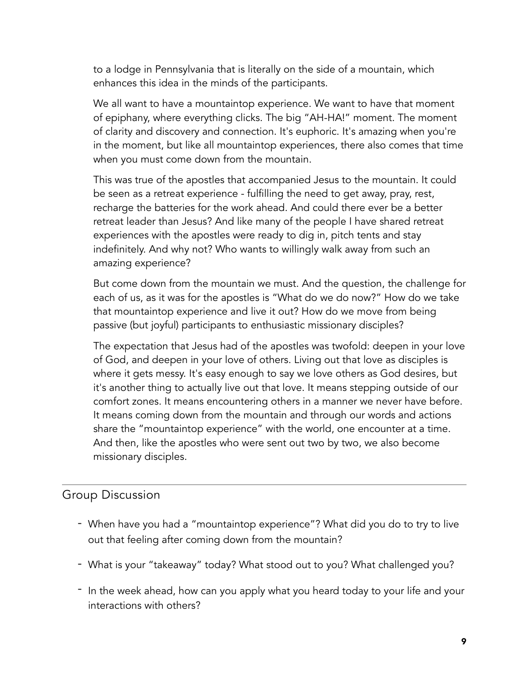to a lodge in Pennsylvania that is literally on the side of a mountain, which enhances this idea in the minds of the participants.

We all want to have a mountaintop experience. We want to have that moment of epiphany, where everything clicks. The big "AH-HA!" moment. The moment of clarity and discovery and connection. It's euphoric. It's amazing when you're in the moment, but like all mountaintop experiences, there also comes that time when you must come down from the mountain.

This was true of the apostles that accompanied Jesus to the mountain. It could be seen as a retreat experience - fulfilling the need to get away, pray, rest, recharge the batteries for the work ahead. And could there ever be a better retreat leader than Jesus? And like many of the people I have shared retreat experiences with the apostles were ready to dig in, pitch tents and stay indefinitely. And why not? Who wants to willingly walk away from such an amazing experience?

But come down from the mountain we must. And the question, the challenge for each of us, as it was for the apostles is "What do we do now?" How do we take that mountaintop experience and live it out? How do we move from being passive (but joyful) participants to enthusiastic missionary disciples?

The expectation that Jesus had of the apostles was twofold: deepen in your love of God, and deepen in your love of others. Living out that love as disciples is where it gets messy. It's easy enough to say we love others as God desires, but it's another thing to actually live out that love. It means stepping outside of our comfort zones. It means encountering others in a manner we never have before. It means coming down from the mountain and through our words and actions share the "mountaintop experience" with the world, one encounter at a time. And then, like the apostles who were sent out two by two, we also become missionary disciples.

# Group Discussion

- When have you had a "mountaintop experience"? What did you do to try to live out that feeling after coming down from the mountain?
- What is your "takeaway" today? What stood out to you? What challenged you?
- In the week ahead, how can you apply what you heard today to your life and your interactions with others?